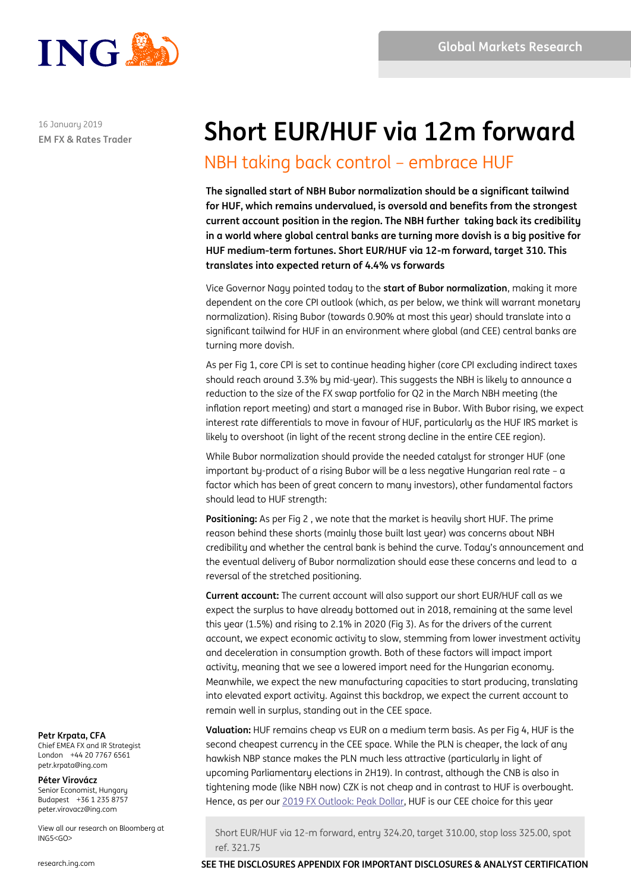

**EM FX & Rates Trader** 16 January 2019

# **Short EUR/HUF via 12m forward**

## NBH taking back control – embrace HUF

**The signalled start of NBH Bubor normalization should be a significant tailwind for HUF, which remains undervalued, is oversold and benefits from the strongest current account position in the region. The NBH further taking back its credibility in a world where global central banks are turning more dovish is a big positive for HUF medium-term fortunes. Short EUR/HUF via 12-m forward, target 310. This translates into expected return of 4.4% vs forwards**

Vice Governor Nagy pointed today to the **start of Bubor normalization**, making it more dependent on the core CPI outlook (which, as per below, we think will warrant monetary normalization). Rising Bubor (towards 0.90% at most this year) should translate into a significant tailwind for HUF in an environment where global (and CEE) central banks are turning more dovish.

As per Fig 1, core CPI is set to continue heading higher (core CPI excluding indirect taxes should reach around 3.3% by mid-year). This suggests the NBH is likely to announce a reduction to the size of the FX swap portfolio for Q2 in the March NBH meeting (the inflation report meeting) and start a managed rise in Bubor. With Bubor rising, we expect interest rate differentials to move in favour of HUF, particularly as the HUF IRS market is likely to overshoot (in light of the recent strong decline in the entire CEE region).

While Bubor normalization should provide the needed catalyst for stronger HUF (one important by-product of a rising Bubor will be a less negative Hungarian real rate – a factor which has been of great concern to many investors), other fundamental factors should lead to HUF strength:

**Positioning:** As per Fig 2 , we note that the market is heavily short HUF. The prime reason behind these shorts (mainly those built last year) was concerns about NBH credibility and whether the central bank is behind the curve. Today's announcement and the eventual delivery of Bubor normalization should ease these concerns and lead to a reversal of the stretched positioning.

**Current account:** The current account will also support our short EUR/HUF call as we expect the surplus to have already bottomed out in 2018, remaining at the same level this year (1.5%) and rising to 2.1% in 2020 (Fig 3). As for the drivers of the current account, we expect economic activity to slow, stemming from lower investment activity and deceleration in consumption growth. Both of these factors will impact import activity, meaning that we see a lowered import need for the Hungarian economy. Meanwhile, we expect the new manufacturing capacities to start producing, translating into elevated export activity. Against this backdrop, we expect the current account to remain well in surplus, standing out in the CEE space.

**Valuation:** HUF remains cheap vs EUR on a medium term basis. As per Fig 4, HUF is the second cheapest currency in the CEE space. While the PLN is cheaper, the lack of any hawkish NBP stance makes the PLN much less attractive (particularly in light of upcoming Parliamentary elections in 2H19). In contrast, although the CNB is also in tightening mode (like NBH now) CZK is not cheap and in contrast to HUF is overbought. Hence, as per ou[r 2019 FX Outlook: Peak Dollar,](https://research.ing.com/docs/10123A35-162A-4CFF-939F-02021EFB0B20.pdf) HUF is our CEE choice for this year

Short EUR/HUF via 12-m forward, entry 324.20, target 310.00, stop loss 325.00, spot ref. 321.75

**Petr Krpata, CFA**

Chief EMEA FX and IR Strategist London +44 20 7767 6561 petr.krpata@ing.com

**Péter Virovácz** Senior Economist, Hungary Budapest +36 1 235 8757 peter.virovacz@ing.com

View all our research on Bloomberg at ING5<GO>

1 research.ing.com **SEE THE DISCLOSURES APPENDIX FOR IMPORTANT DISCLOSURES & ANALYST CERTIFICATION**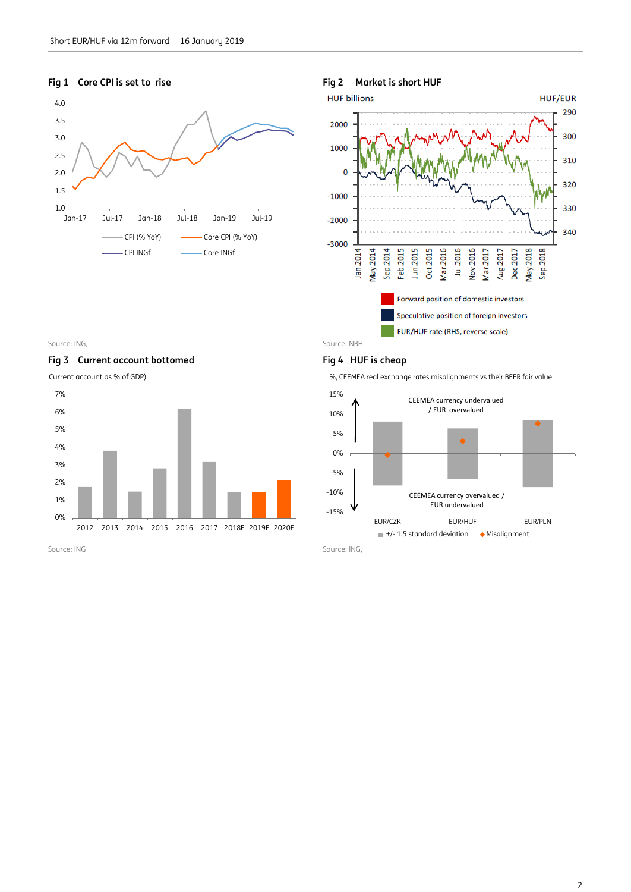

### **Fig 1 Core CPI is set to rise Fig 2 Market is short HUF**



### Source: ING, Source: NBH

Fig 3 Current account bottomed Fig 4 HUF is cheap

Current account as % of GDP)



%, CEEMEA real exchange rates misalignments vs their BEER fair value



Source: ING Source: ING,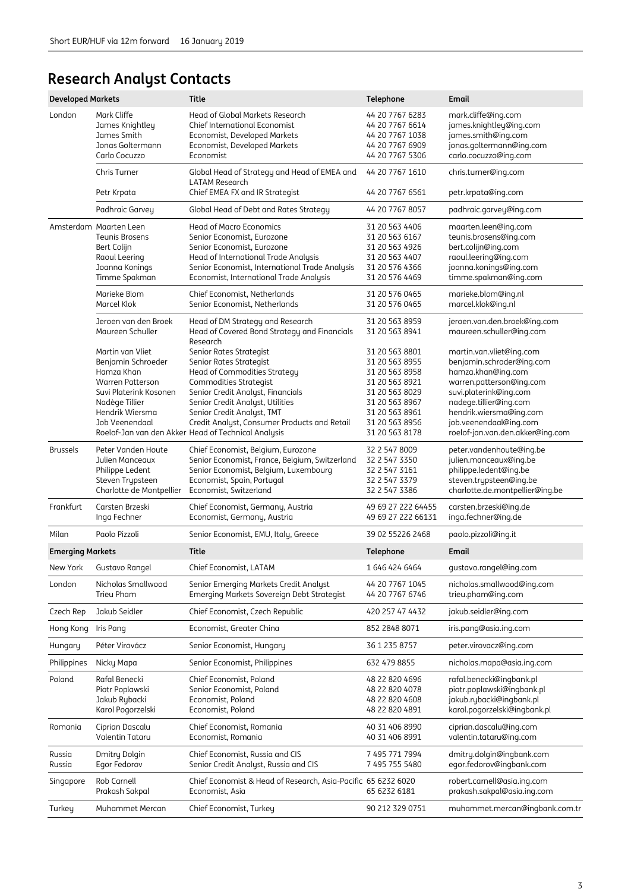## **Research Analyst Contacts**

| <b>Developed Markets</b> |                                                                                                                                                                                                              | <b>Title</b>                                                                                                                                                                                                                                                                                                                                                        | Telephone                                                                                                                                                                        | Email                                                                                                                                                                                                                                                                        |  |  |
|--------------------------|--------------------------------------------------------------------------------------------------------------------------------------------------------------------------------------------------------------|---------------------------------------------------------------------------------------------------------------------------------------------------------------------------------------------------------------------------------------------------------------------------------------------------------------------------------------------------------------------|----------------------------------------------------------------------------------------------------------------------------------------------------------------------------------|------------------------------------------------------------------------------------------------------------------------------------------------------------------------------------------------------------------------------------------------------------------------------|--|--|
| London                   | Mark Cliffe<br>James Knightley<br>James Smith<br>Jonas Goltermann<br>Carlo Cocuzzo                                                                                                                           | Head of Global Markets Research<br>Chief International Economist<br>Economist, Developed Markets<br>Economist, Developed Markets<br>Economist                                                                                                                                                                                                                       | 44 20 7767 6283<br>44 20 7767 6614<br>44 20 7767 1038<br>44 20 7767 6909<br>44 20 7767 5306                                                                                      | mark.cliffe@ing.com<br>james.knightley@ing.com<br>james.smith@ing.com<br>jonas.goltermann@ing.com<br>carlo.cocuzzo@ing.com                                                                                                                                                   |  |  |
|                          | Chris Turner                                                                                                                                                                                                 | Global Head of Strategy and Head of EMEA and                                                                                                                                                                                                                                                                                                                        | 44 20 7767 1610                                                                                                                                                                  | chris.turner@ing.com                                                                                                                                                                                                                                                         |  |  |
|                          | Petr Krpata                                                                                                                                                                                                  | <b>LATAM Research</b><br>Chief EMEA FX and IR Strategist                                                                                                                                                                                                                                                                                                            | 44 20 7767 6561                                                                                                                                                                  | petr.krpata@ing.com                                                                                                                                                                                                                                                          |  |  |
|                          | Padhraic Garvey                                                                                                                                                                                              | Global Head of Debt and Rates Strategy                                                                                                                                                                                                                                                                                                                              | 44 20 7767 8057                                                                                                                                                                  | padhraic.garvey@ing.com                                                                                                                                                                                                                                                      |  |  |
|                          | Amsterdam Maarten Leen<br><b>Teunis Brosens</b><br>Bert Colijn<br>Raoul Leering<br>Joanna Konings<br>Timme Spakman                                                                                           | Head of Macro Economics<br>Senior Economist, Eurozone<br>Senior Economist, Eurozone<br>Head of International Trade Analysis<br>Senior Economist, International Trade Analysis<br>Economist, International Trade Analysis                                                                                                                                            | 31 20 563 4406<br>31 20 563 6167<br>31 20 563 4926<br>31 20 563 4407<br>31 20 576 4366<br>31 20 576 4469                                                                         | maarten.leen@ing.com<br>teunis.brosens@ing.com<br>bert.colijn@ing.com<br>raoul.leering@ing.com<br>joanna.konings@ing.com<br>timme.spakman@ing.com                                                                                                                            |  |  |
|                          | Marieke Blom<br>Marcel Klok                                                                                                                                                                                  | Chief Economist, Netherlands<br>Senior Economist, Netherlands                                                                                                                                                                                                                                                                                                       | 31 20 576 0465<br>31 20 576 0465                                                                                                                                                 | marieke.blom@ing.nl<br>marcel.klok@ing.nl                                                                                                                                                                                                                                    |  |  |
|                          | Jeroen van den Broek<br>Maureen Schuller<br>Martin van Vliet<br>Benjamin Schroeder<br>Hamza Khan<br><b>Warren Patterson</b><br>Suvi Platerink Kosonen<br>Nadège Tillier<br>Hendrik Wiersma<br>Job Veenendaal | Head of DM Strategy and Research<br>Head of Covered Bond Strategy and Financials<br>Research<br>Senior Rates Strategist<br>Senior Rates Strategist<br>Head of Commodities Strategy<br>Commodities Strategist<br>Senior Credit Analyst, Financials<br>Senior Credit Analyst, Utilities<br>Senior Credit Analyst, TMT<br>Credit Analyst, Consumer Products and Retail | 31 20 563 8959<br>31 20 563 8941<br>31 20 563 8801<br>31 20 563 8955<br>31 20 563 8958<br>31 20 563 8921<br>31 20 563 8029<br>31 20 563 8967<br>31 20 563 8961<br>31 20 563 8956 | jeroen.van.den.broek@ing.com<br>maureen.schuller@ing.com<br>martin.van.vliet@ing.com<br>benjamin.schroder@ing.com<br>hamza.khan@ing.com<br>warren.patterson@ing.com<br>suvi.platerink@ing.com<br>nadege.tillier@ing.com<br>hendrik.wiersma@ing.com<br>job.veenendaal@ing.com |  |  |
|                          |                                                                                                                                                                                                              | Roelof-Jan van den Akker Head of Technical Analysis                                                                                                                                                                                                                                                                                                                 | 31 20 563 8178                                                                                                                                                                   | roelof-jan.van.den.akker@ing.com                                                                                                                                                                                                                                             |  |  |
| <b>Brussels</b>          | Peter Vanden Houte<br>Julien Manceaux<br>Philippe Ledent<br>Steven Trypsteen<br>Charlotte de Montpellier                                                                                                     | Chief Economist, Belgium, Eurozone<br>Senior Economist, France, Belgium, Switzerland<br>Senior Economist, Belgium, Luxembourg<br>Economist, Spain, Portugal<br>Economist, Switzerland                                                                                                                                                                               | 32 2 547 8009<br>32 2 547 3350<br>32 2 547 3161<br>32 2 547 3379<br>32 2 547 3386                                                                                                | peter.vandenhoute@ing.be<br>julien.manceaux@ing.be<br>philippe.ledent@ing.be<br>steven.trypsteen@ing.be<br>charlotte.de.montpellier@ing.be                                                                                                                                   |  |  |
| Frankfurt                | Carsten Brzeski<br>Inga Fechner                                                                                                                                                                              | Chief Economist, Germany, Austria<br>Economist, Germany, Austria                                                                                                                                                                                                                                                                                                    | 49 69 27 222 64455<br>carsten.brzeski@ing.de<br>inga.fechner@ing.de<br>49 69 27 222 66131                                                                                        |                                                                                                                                                                                                                                                                              |  |  |
| Milan                    | Paolo Pizzoli                                                                                                                                                                                                | Senior Economist, EMU, Italy, Greece                                                                                                                                                                                                                                                                                                                                | 39 02 55226 2468                                                                                                                                                                 | paolo.pizzoli@ing.it                                                                                                                                                                                                                                                         |  |  |
| <b>Emerging Markets</b>  |                                                                                                                                                                                                              | <b>Title</b>                                                                                                                                                                                                                                                                                                                                                        | Telephone                                                                                                                                                                        | Email                                                                                                                                                                                                                                                                        |  |  |
| New York                 | Gustavo Rangel                                                                                                                                                                                               | Chief Economist, LATAM                                                                                                                                                                                                                                                                                                                                              | 1 646 424 6464                                                                                                                                                                   | gustavo.rangel@ing.com                                                                                                                                                                                                                                                       |  |  |
| London                   | Nicholas Smallwood<br><b>Trieu Pham</b>                                                                                                                                                                      | Senior Emerging Markets Credit Analyst<br>Emerging Markets Sovereign Debt Strategist                                                                                                                                                                                                                                                                                | 44 20 7767 1045<br>44 20 7767 6746                                                                                                                                               | nicholas.smallwood@ing.com<br>trieu.pham@ing.com                                                                                                                                                                                                                             |  |  |
| Czech Rep                | Jakub Seidler                                                                                                                                                                                                | Chief Economist, Czech Republic                                                                                                                                                                                                                                                                                                                                     | 420 257 47 4432                                                                                                                                                                  | jakub.seidler@ing.com                                                                                                                                                                                                                                                        |  |  |
| Hong Kong                | Iris Pang                                                                                                                                                                                                    | Economist, Greater China                                                                                                                                                                                                                                                                                                                                            | 852 2848 8071                                                                                                                                                                    | iris.pang@asia.ing.com                                                                                                                                                                                                                                                       |  |  |
| Hungary                  | Péter Virovácz                                                                                                                                                                                               | Senior Economist, Hungary                                                                                                                                                                                                                                                                                                                                           | 36 1 235 8757                                                                                                                                                                    | peter.virovacz@ing.com                                                                                                                                                                                                                                                       |  |  |
| Philippines              | Nicky Mapa                                                                                                                                                                                                   | Senior Economist, Philippines                                                                                                                                                                                                                                                                                                                                       | 632 479 8855                                                                                                                                                                     | nicholas.mapa@asia.ing.com                                                                                                                                                                                                                                                   |  |  |
| Poland                   | Rafal Benecki<br>Piotr Poplawski<br>Jakub Rybacki<br>Karol Pogorzelski                                                                                                                                       | Chief Economist, Poland<br>Senior Economist, Poland<br>Economist, Poland<br>Economist, Poland                                                                                                                                                                                                                                                                       | 48 22 820 4696<br>48 22 820 4078<br>48 22 820 4608<br>48 22 820 4891                                                                                                             | rafal.benecki@ingbank.pl<br>piotr.poplawski@ingbank.pl<br>jakub.rybacki@ingbank.pl<br>karol.pogorzelski@ingbank.pl                                                                                                                                                           |  |  |
| Romania                  | Ciprian Dascalu<br>Valentin Tataru                                                                                                                                                                           | Chief Economist, Romania<br>Economist, Romania                                                                                                                                                                                                                                                                                                                      | 40 31 406 8990<br>40 31 406 8991                                                                                                                                                 | ciprian.dascalu@ing.com<br>valentin.tataru@ing.com                                                                                                                                                                                                                           |  |  |
| Russia<br>Russia         | Dmitry Dolgin<br>Egor Fedorov                                                                                                                                                                                | Chief Economist, Russia and CIS<br>Senior Credit Analyst, Russia and CIS                                                                                                                                                                                                                                                                                            | 7 495 771 7994<br>7 495 755 5480                                                                                                                                                 | dmitry.dolgin@ingbank.com<br>egor.fedorov@ingbank.com                                                                                                                                                                                                                        |  |  |
| Singapore                | Rob Carnell<br>Prakash Sakpal                                                                                                                                                                                | Chief Economist & Head of Research, Asia-Pacific 65 6232 6020<br>Economist, Asia<br>65 6232 6181                                                                                                                                                                                                                                                                    |                                                                                                                                                                                  | robert.carnell@asia.ing.com<br>prakash.sakpal@asia.ing.com                                                                                                                                                                                                                   |  |  |
| Turkey                   | Muhammet Mercan                                                                                                                                                                                              | Chief Economist, Turkey                                                                                                                                                                                                                                                                                                                                             | 90 212 329 0751                                                                                                                                                                  | muhammet.mercan@ingbank.com.tr                                                                                                                                                                                                                                               |  |  |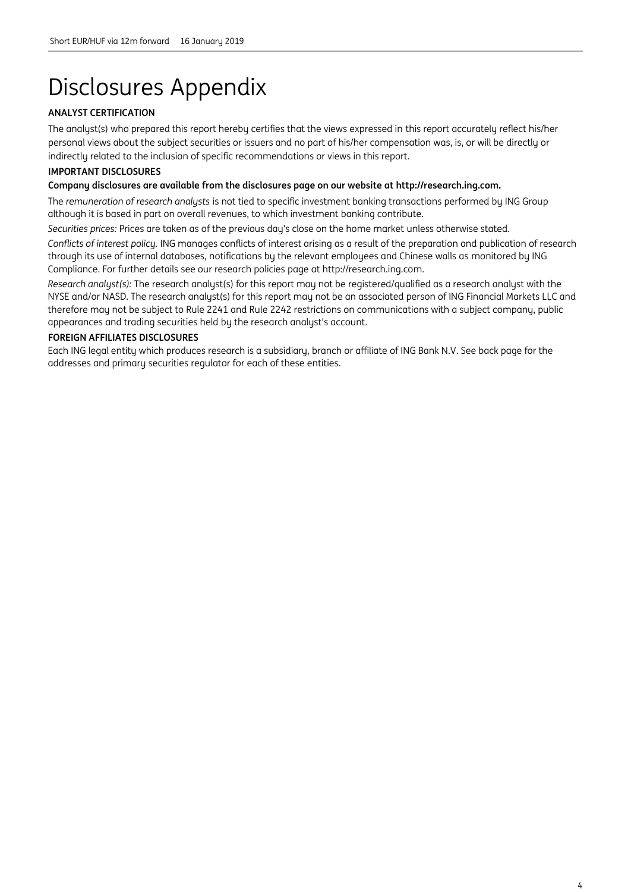# Disclosures Appendix

### **ANALYST CERTIFICATION**

The analyst(s) who prepared this report hereby certifies that the views expressed in this report accurately reflect his/her personal views about the subject securities or issuers and no part of his/her compensation was, is, or will be directly or indirectly related to the inclusion of specific recommendations or views in this report.

### **IMPORTANT DISCLOSURES**

### **Company disclosures are available from the disclosures page on our website at http://research.ing.com.**

The *remuneration of research analysts* is not tied to specific investment banking transactions performed by ING Group although it is based in part on overall revenues, to which investment banking contribute.

*Securities prices:* Prices are taken as of the previous day's close on the home market unless otherwise stated.

*Conflicts of interest policy.* ING manages conflicts of interest arising as a result of the preparation and publication of research through its use of internal databases, notifications by the relevant employees and Chinese walls as monitored by ING Compliance. For further details see our research policies page at http://research.ing.com.

*Research analyst(s):* The research analyst(s) for this report may not be registered/qualified as a research analyst with the NYSE and/or NASD. The research analyst(s) for this report may not be an associated person of ING Financial Markets LLC and therefore may not be subject to Rule 2241 and Rule 2242 restrictions on communications with a subject company, public appearances and trading securities held by the research analyst's account.

### **FOREIGN AFFILIATES DISCLOSURES**

Each ING legal entity which produces research is a subsidiary, branch or affiliate of ING Bank N.V. See back page for the addresses and primary securities regulator for each of these entities.